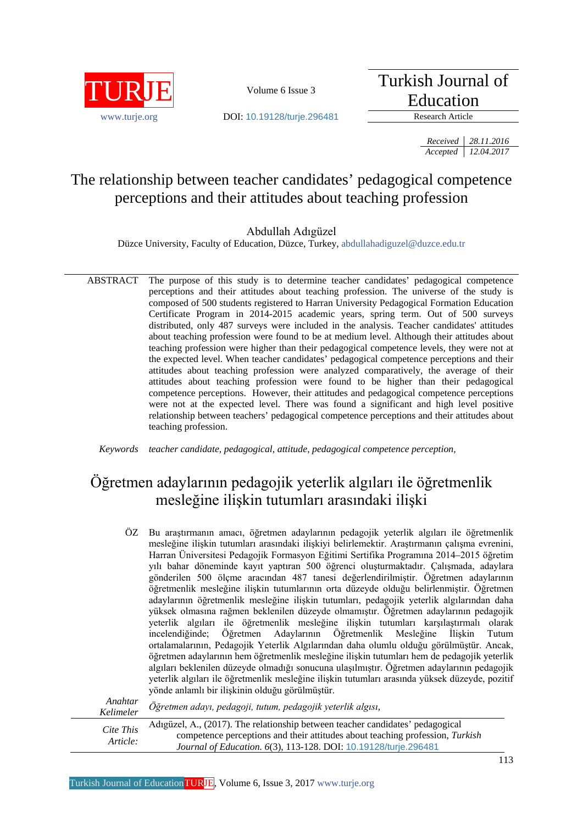

Turkish Journal of Education

www.turie.org **DOI:** 10.19128/turie.296481 Research Article

*Received 28.11.2016 Accepted 12.04.2017*

# The relationship between teacher candidates' pedagogical competence perceptions and their attitudes about teaching profession

Abdullah Adıgüzel

Düzce University, Faculty of Education, Düzce, Turkey[, abdullahadiguzel@duzce.edu.tr](mailto:abdullahadiguzel@duzce.edu.tr)

ABSTRACT The purpose of this study is to determine teacher candidates' pedagogical competence perceptions and their attitudes about teaching profession. The universe of the study is composed of 500 students registered to Harran University Pedagogical Formation Education Certificate Program in 2014-2015 academic years, spring term. Out of 500 surveys distributed, only 487 surveys were included in the analysis. Teacher candidates' attitudes about teaching profession were found to be at medium level. Although their attitudes about teaching profession were higher than their pedagogical competence levels, they were not at the expected level. When teacher candidates' pedagogical competence perceptions and their attitudes about teaching profession were analyzed comparatively, the average of their attitudes about teaching profession were found to be higher than their pedagogical competence perceptions. However, their attitudes and pedagogical competence perceptions were not at the expected level. There was found a significant and high level positive relationship between teachers' pedagogical competence perceptions and their attitudes about teaching profession.

*Keywords teacher candidate, pedagogical, attitude, pedagogical competence perception,*

# Öğretmen adaylarının pedagojik yeterlik algıları ile öğretmenlik mesleğine ilişkin tutumları arasındaki ilişki

| Bu araştırmanın amacı, öğretmen adaylarının pedagojik yeterlik algıları ile öğretmenlik<br>mesleğine ilişkin tutumları arasındaki ilişkiyi belirlemektir. Araştırmanın çalışma evrenini, |
|------------------------------------------------------------------------------------------------------------------------------------------------------------------------------------------|
|                                                                                                                                                                                          |
| Harran Üniversitesi Pedagojik Formasyon Eğitimi Sertifika Programına 2014–2015 öğretim                                                                                                   |
| yılı bahar döneminde kayıt yaptıran 500 öğrenci oluşturmaktadır. Çalışmada, adaylara                                                                                                     |
| gönderilen 500 ölçme aracından 487 tanesi değerlendirilmiştir. Öğretmen adaylarının                                                                                                      |
| öğretmenlik mesleğine ilişkin tutumlarının orta düzeyde olduğu belirlenmiştir. Öğretmen                                                                                                  |
| adaylarının öğretmenlik mesleğine ilişkin tutumları, pedagojik yeterlik algılarından daha                                                                                                |
| yüksek olmasına rağmen beklenilen düzeyde olmamıştır. Öğretmen adaylarının pedagojik                                                                                                     |
| yeterlik algıları ile öğretmenlik mesleğine ilişkin tutumları karşılaştırmalı olarak                                                                                                     |
| incelendiğinde; Öğretmen Adaylarının Öğretmenlik Mesleğine İlişkin Tutum                                                                                                                 |
| ortalamalarının, Pedagojik Yeterlik Algılarından daha olumlu olduğu görülmüştür. Ancak,                                                                                                  |
| öğretmen adaylarının hem öğretmenlik mesleğine ilişkin tutumları hem de pedagojik yeterlik                                                                                               |
| algıları beklenilen düzeyde olmadığı sonucuna ulaşılmıştır. Öğretmen adaylarının pedagojik                                                                                               |
| yeterlik algıları ile öğretmenlik mesleğine ilişkin tutumları arasında yüksek düzeyde, pozitif                                                                                           |
| yönde anlamlı bir ilişkinin olduğu görülmüştür.                                                                                                                                          |
|                                                                                                                                                                                          |

| Anahtar<br>Kelimeler  | Öğretmen adayı, pedagoji, tutum, pedagojik yeterlik algısı,                                                                                                                                                                        |
|-----------------------|------------------------------------------------------------------------------------------------------------------------------------------------------------------------------------------------------------------------------------|
| Cite This<br>Article: | Adigüzel, A., (2017). The relationship between teacher candidates' pedagogical<br>competence perceptions and their attitudes about teaching profession, Turkish<br>Journal of Education. 6(3), 113-128. DOI: 10.19128/turje.296481 |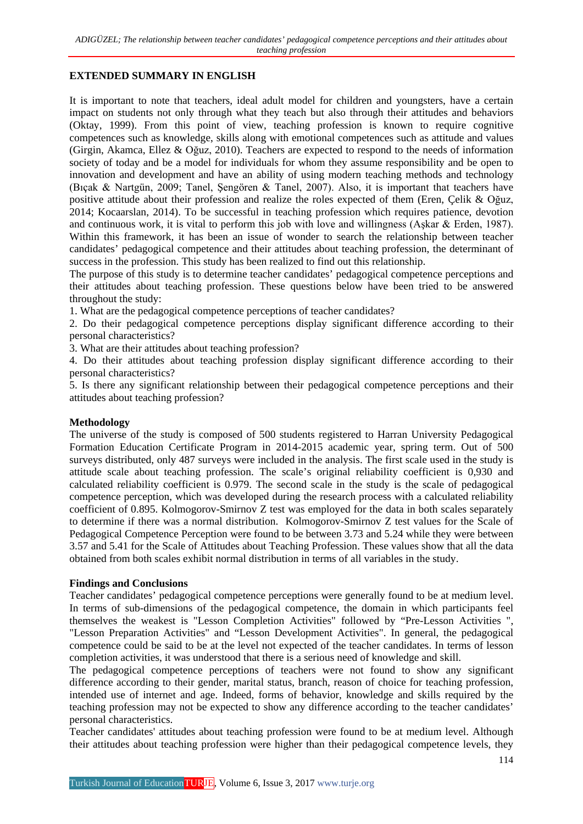### **EXTENDED SUMMARY IN ENGLISH**

It is important to note that teachers, ideal adult model for children and youngsters, have a certain impact on students not only through what they teach but also through their attitudes and behaviors (Oktay, 1999). From this point of view, teaching profession is known to require cognitive competences such as knowledge, skills along with emotional competences such as attitude and values (Girgin, Akamca, Ellez & Oğuz, 2010). Teachers are expected to respond to the needs of information society of today and be a model for individuals for whom they assume responsibility and be open to innovation and development and have an ability of using modern teaching methods and technology (Bıçak & Nartgün, 2009; Tanel, Şengören & Tanel, 2007). Also, it is important that teachers have positive attitude about their profession and realize the roles expected of them (Eren, Çelik & Oğuz, 2014; Kocaarslan, 2014). To be successful in teaching profession which requires patience, devotion and continuous work, it is vital to perform this job with love and willingness (Aşkar & Erden, 1987). Within this framework, it has been an issue of wonder to search the relationship between teacher candidates' pedagogical competence and their attitudes about teaching profession, the determinant of success in the profession. This study has been realized to find out this relationship.

The purpose of this study is to determine teacher candidates' pedagogical competence perceptions and their attitudes about teaching profession. These questions below have been tried to be answered throughout the study:

1. What are the pedagogical competence perceptions of teacher candidates?

2. Do their pedagogical competence perceptions display significant difference according to their personal characteristics?

3. What are their attitudes about teaching profession?

4. Do their attitudes about teaching profession display significant difference according to their personal characteristics?

5. Is there any significant relationship between their pedagogical competence perceptions and their attitudes about teaching profession?

### **Methodology**

The universe of the study is composed of 500 students registered to Harran University Pedagogical Formation Education Certificate Program in 2014-2015 academic year, spring term. Out of 500 surveys distributed, only 487 surveys were included in the analysis. The first scale used in the study is attitude scale about teaching profession. The scale's original reliability coefficient is 0,930 and calculated reliability coefficient is 0.979. The second scale in the study is the scale of pedagogical competence perception, which was developed during the research process with a calculated reliability coefficient of 0.895. Kolmogorov-Smirnov Z test was employed for the data in both scales separately to determine if there was a normal distribution. Kolmogorov-Smirnov Z test values for the Scale of Pedagogical Competence Perception were found to be between 3.73 and 5.24 while they were between 3.57 and 5.41 for the Scale of Attitudes about Teaching Profession. These values show that all the data obtained from both scales exhibit normal distribution in terms of all variables in the study.

### **Findings and Conclusions**

Teacher candidates' pedagogical competence perceptions were generally found to be at medium level. In terms of sub-dimensions of the pedagogical competence, the domain in which participants feel themselves the weakest is "Lesson Completion Activities" followed by "Pre-Lesson Activities ", "Lesson Preparation Activities" and "Lesson Development Activities". In general, the pedagogical competence could be said to be at the level not expected of the teacher candidates. In terms of lesson completion activities, it was understood that there is a serious need of knowledge and skill.

The pedagogical competence perceptions of teachers were not found to show any significant difference according to their gender, marital status, branch, reason of choice for teaching profession, intended use of internet and age. Indeed, forms of behavior, knowledge and skills required by the teaching profession may not be expected to show any difference according to the teacher candidates' personal characteristics.

Teacher candidates' attitudes about teaching profession were found to be at medium level. Although their attitudes about teaching profession were higher than their pedagogical competence levels, they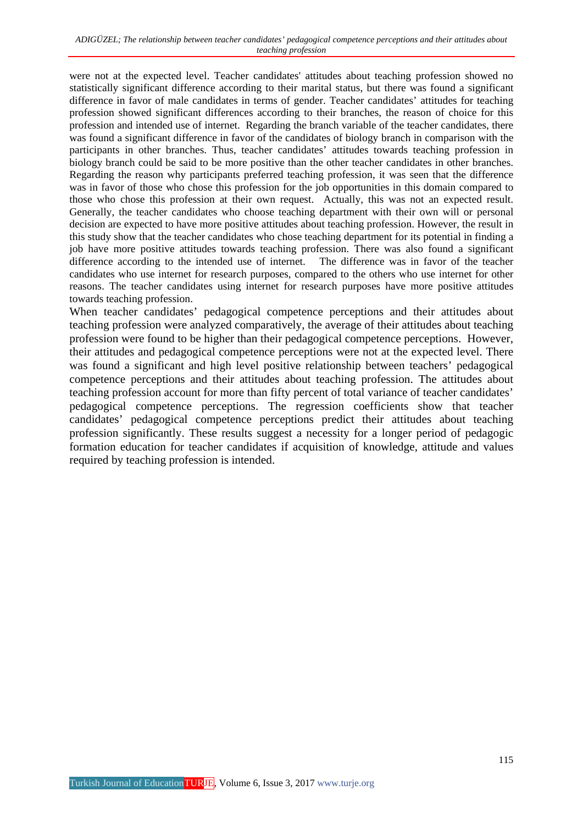were not at the expected level. Teacher candidates' attitudes about teaching profession showed no statistically significant difference according to their marital status, but there was found a significant difference in favor of male candidates in terms of gender. Teacher candidates' attitudes for teaching profession showed significant differences according to their branches, the reason of choice for this profession and intended use of internet. Regarding the branch variable of the teacher candidates, there was found a significant difference in favor of the candidates of biology branch in comparison with the participants in other branches. Thus, teacher candidates' attitudes towards teaching profession in biology branch could be said to be more positive than the other teacher candidates in other branches. Regarding the reason why participants preferred teaching profession, it was seen that the difference was in favor of those who chose this profession for the job opportunities in this domain compared to those who chose this profession at their own request. Actually, this was not an expected result. Generally, the teacher candidates who choose teaching department with their own will or personal decision are expected to have more positive attitudes about teaching profession. However, the result in this study show that the teacher candidates who chose teaching department for its potential in finding a job have more positive attitudes towards teaching profession. There was also found a significant difference according to the intended use of internet. The difference was in favor of the teacher candidates who use internet for research purposes, compared to the others who use internet for other reasons. The teacher candidates using internet for research purposes have more positive attitudes towards teaching profession.

When teacher candidates' pedagogical competence perceptions and their attitudes about teaching profession were analyzed comparatively, the average of their attitudes about teaching profession were found to be higher than their pedagogical competence perceptions. However, their attitudes and pedagogical competence perceptions were not at the expected level. There was found a significant and high level positive relationship between teachers' pedagogical competence perceptions and their attitudes about teaching profession. The attitudes about teaching profession account for more than fifty percent of total variance of teacher candidates' pedagogical competence perceptions. The regression coefficients show that teacher candidates' pedagogical competence perceptions predict their attitudes about teaching profession significantly. These results suggest a necessity for a longer period of pedagogic formation education for teacher candidates if acquisition of knowledge, attitude and values required by teaching profession is intended.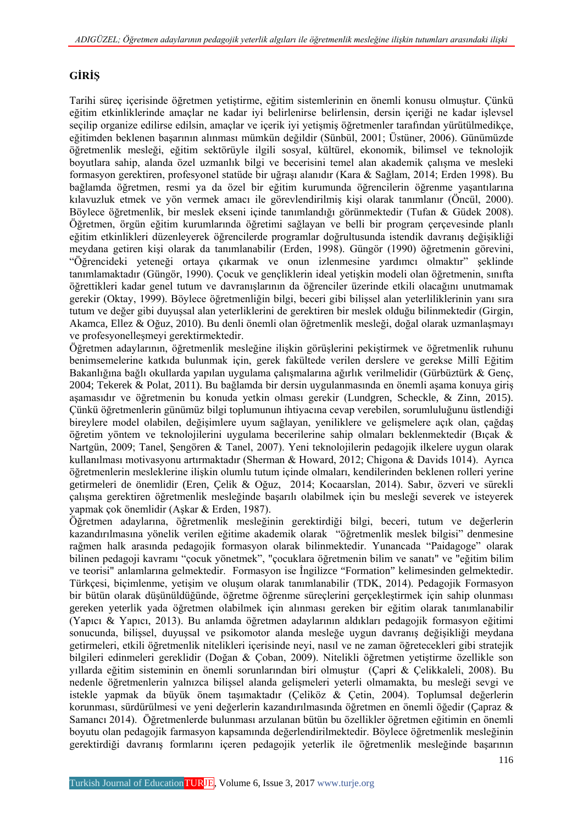## **GİRİŞ**

Tarihi süreç içerisinde öğretmen yetiştirme, eğitim sistemlerinin en önemli konusu olmuştur. Çünkü eğitim etkinliklerinde amaçlar ne kadar iyi belirlenirse belirlensin, dersin içeriği ne kadar işlevsel seçilip organize edilirse edilsin, amaçlar ve içerik iyi yetişmiş öğretmenler tarafından yürütülmedikçe, eğitimden beklenen başarının alınması mümkün değildir (Sünbül, 2001; Üstüner, 2006). Günümüzde öğretmenlik mesleği, eğitim sektörüyle ilgili sosyal, kültürel, ekonomik, bilimsel ve teknolojik boyutlara sahip, alanda özel uzmanlık bilgi ve becerisini temel alan akademik çalışma ve mesleki formasyon gerektiren, profesyonel statüde bir uğraşı alanıdır (Kara & Sağlam, 2014; Erden 1998). Bu bağlamda öğretmen, resmi ya da özel bir eğitim kurumunda öğrencilerin öğrenme yaşantılarına kılavuzluk etmek ve yön vermek amacı ile görevlendirilmiş kişi olarak tanımlanır (Öncül, 2000). Böylece öğretmenlik, bir meslek ekseni içinde tanımlandığı görünmektedir (Tufan & Güdek 2008). Öğretmen, örgün eğitim kurumlarında öğretimi sağlayan ve belli bir program çerçevesinde planlı eğitim etkinlikleri düzenleyerek öğrencilerde programlar doğrultusunda istendik davranış değişikliği meydana getiren kişi olarak da tanımlanabilir (Erden, 1998). Güngör (1990) öğretmenin görevini, "Öğrencideki yeteneği ortaya çıkarmak ve onun izlenmesine yardımcı olmaktır" şeklinde tanımlamaktadır (Güngör, 1990). Çocuk ve gençliklerin ideal yetişkin modeli olan öğretmenin, sınıfta öğrettikleri kadar genel tutum ve davranışlarının da öğrenciler üzerinde etkili olacağını unutmamak gerekir (Oktay, 1999). Böylece öğretmenliğin bilgi, beceri gibi bilişsel alan yeterliliklerinin yanı sıra tutum ve değer gibi duyuşsal alan yeterliklerini de gerektiren bir meslek olduğu bilinmektedir (Girgin, Akamca, Ellez & Oğuz, 2010). Bu denli önemli olan öğretmenlik mesleği, doğal olarak uzmanlaşmayı ve profesyonelleşmeyi gerektirmektedir.

Öğretmen adaylarının, öğretmenlik mesleğine ilişkin görüşlerini pekiştirmek ve öğretmenlik ruhunu benimsemelerine katkıda bulunmak için, gerek fakültede verilen derslere ve gerekse Millî Eğitim Bakanlığına bağlı okullarda yapılan uygulama çalışmalarına ağırlık verilmelidir (Gürbüztürk & Genç, 2004; Tekerek & Polat, 2011). Bu bağlamda bir dersin uygulanmasında en önemli aşama konuya giriş aşamasıdır ve öğretmenin bu konuda yetkin olması gerekir (Lundgren, Scheckle, & Zinn, 2015). Çünkü öğretmenlerin günümüz bilgi toplumunun ihtiyacına cevap verebilen, sorumluluğunu üstlendiği bireylere model olabilen, değişimlere uyum sağlayan, yeniliklere ve gelişmelere açık olan, çağdaş öğretim yöntem ve teknolojilerini uygulama becerilerine sahip olmaları beklenmektedir (Bıçak & Nartgün, 2009; Tanel, Şengören & Tanel, 2007). Yeni teknolojilerin pedagojik ilkelere uygun olarak kullanılması motivasyonu artırmaktadır (Sherman & Howard, 2012; Chigona & Davids 1014). Ayrıca öğretmenlerin mesleklerine ilişkin olumlu tutum içinde olmaları, kendilerinden beklenen rolleri yerine getirmeleri de önemlidir (Eren, Çelik & Oğuz, 2014; Kocaarslan, 2014). Sabır, özveri ve sürekli çalışma gerektiren öğretmenlik mesleğinde başarılı olabilmek için bu mesleği severek ve isteyerek yapmak çok önemlidir (Aşkar & Erden, 1987).

Öğretmen adaylarına, öğretmenlik mesleğinin gerektirdiği bilgi, beceri, tutum ve değerlerin kazandırılmasına yönelik verilen eğitime akademik olarak "öğretmenlik meslek bilgisi" denmesine rağmen halk arasında pedagojik formasyon olarak bilinmektedir. Yunancada "Paidagoge" olarak bilinen pedagoji kavramı "çocuk yönetmek", "çocuklara öğretmenin bilim ve sanatı" ve "eğitim bilim ve teorisi" anlamlarına gelmektedir. Formasyon ise İngilizce "Formation" kelimesinden gelmektedir. Türkçesi, biçimlenme, yetişim ve oluşum olarak tanımlanabilir (TDK, 2014). Pedagojik Formasyon bir bütün olarak düşünüldüğünde, öğretme öğrenme süreçlerini gerçekleştirmek için sahip olunması gereken yeterlik yada öğretmen olabilmek için alınması gereken bir eğitim olarak tanımlanabilir (Yapıcı & Yapıcı, 2013). Bu anlamda öğretmen adaylarının aldıkları pedagojik formasyon eğitimi sonucunda, bilişsel, duyuşsal ve psikomotor alanda mesleğe uygun davranış değişikliği meydana getirmeleri, etkili öğretmenlik nitelikleri içerisinde neyi, nasıl ve ne zaman öğretecekleri gibi stratejik bilgileri edinmeleri gereklidir (Doğan & Çoban, 2009). Nitelikli öğretmen yetiştirme özellikle son yıllarda eğitim sisteminin en önemli sorunlarından biri olmuştur (Çapri & Çelikkaleli, 2008). Bu nedenle öğretmenlerin yalnızca bilişsel alanda gelişmeleri yeterli olmamakta, bu mesleği sevgi ve istekle yapmak da büyük önem taşımaktadır (Çeliköz & Çetin, 2004). Toplumsal değerlerin korunması, sürdürülmesi ve yeni değerlerin kazandırılmasında öğretmen en önemli öğedir (Çapraz & Samancı 2014). Öğretmenlerde bulunması arzulanan bütün bu özellikler öğretmen eğitimin en önemli boyutu olan pedagojik farmasyon kapsamında değerlendirilmektedir. Böylece öğretmenlik mesleğinin gerektirdiği davranış formlarını içeren pedagojik yeterlik ile öğretmenlik mesleğinde başarının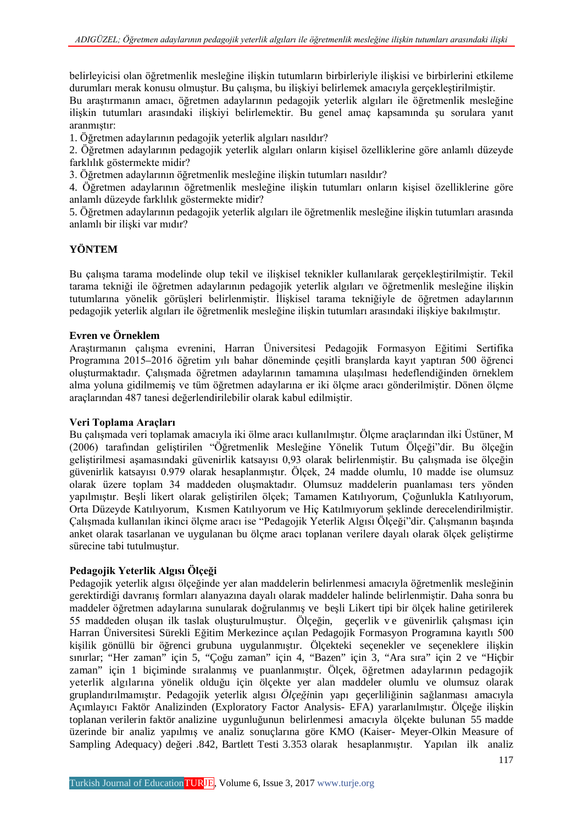belirleyicisi olan öğretmenlik mesleğine ilişkin tutumların birbirleriyle ilişkisi ve birbirlerini etkileme durumları merak konusu olmuştur. Bu çalışma, bu ilişkiyi belirlemek amacıyla gerçekleştirilmiştir.

Bu araştırmanın amacı, öğretmen adaylarının pedagojik yeterlik algıları ile öğretmenlik mesleğine ilişkin tutumları arasındaki ilişkiyi belirlemektir. Bu genel amaç kapsamında şu sorulara yanıt aranmıştır:

1. Öğretmen adaylarının pedagojik yeterlik algıları nasıldır?

2. Öğretmen adaylarının pedagojik yeterlik algıları onların kişisel özelliklerine göre anlamlı düzeyde farklılık göstermekte midir?

3. Öğretmen adaylarının öğretmenlik mesleğine ilişkin tutumları nasıldır?

4. Öğretmen adaylarının öğretmenlik mesleğine ilişkin tutumları onların kişisel özelliklerine göre anlamlı düzeyde farklılık göstermekte midir?

5. Öğretmen adaylarının pedagojik yeterlik algıları ile öğretmenlik mesleğine ilişkin tutumları arasında anlamlı bir ilişki var mıdır?

### **YÖNTEM**

Bu çalışma tarama modelinde olup tekil ve ilişkisel teknikler kullanılarak gerçekleştirilmiştir. Tekil tarama tekniği ile öğretmen adaylarının pedagojik yeterlik algıları ve öğretmenlik mesleğine ilişkin tutumlarına yönelik görüşleri belirlenmiştir. İlişkisel tarama tekniğiyle de öğretmen adaylarının pedagojik yeterlik algıları ile öğretmenlik mesleğine ilişkin tutumları arasındaki ilişkiye bakılmıştır.

### **Evren ve Örneklem**

Araştırmanın çalışma evrenini, Harran Üniversitesi Pedagojik Formasyon Eğitimi Sertifika Programına 2015–2016 öğretim yılı bahar döneminde çeşitli branşlarda kayıt yaptıran 500 öğrenci oluşturmaktadır. Çalışmada öğretmen adaylarının tamamına ulaşılması hedeflendiğinden örneklem alma yoluna gidilmemiş ve tüm öğretmen adaylarına er iki ölçme aracı gönderilmiştir. Dönen ölçme araçlarından 487 tanesi değerlendirilebilir olarak kabul edilmiştir.

### **Veri Toplama Araçları**

Bu çalışmada veri toplamak amacıyla iki ölme aracı kullanılmıştır. Ölçme araçlarından ilki Üstüner, M (2006) tarafından geliştirilen "Öğretmenlik Mesleğine Yönelik Tutum Ölçeği"dir. Bu ölçeğin geliştirilmesi aşamasındaki güvenirlik katsayısı 0,93 olarak belirlenmiştir. Bu çalışmada ise ölçeğin güvenirlik katsayısı 0.979 olarak hesaplanmıştır. Ölçek, 24 madde olumlu, 10 madde ise olumsuz olarak üzere toplam 34 maddeden oluşmaktadır. Olumsuz maddelerin puanlaması ters yönden yapılmıştır. Beşli likert olarak geliştirilen ölçek; Tamamen Katılıyorum, Çoğunlukla Katılıyorum, Orta Düzeyde Katılıyorum, Kısmen Katılıyorum ve Hiç Katılmıyorum şeklinde derecelendirilmiştir. Çalışmada kullanılan ikinci ölçme aracı ise "Pedagojik Yeterlik Algısı Ölçeği"dir. Çalışmanın başında anket olarak tasarlanan ve uygulanan bu ölçme aracı toplanan verilere dayalı olarak ölçek geliştirme sürecine tabi tutulmuştur.

### **Pedagojik Yeterlik Algısı Ölçeği**

Pedagojik yeterlik algısı ölçeğinde yer alan maddelerin belirlenmesi amacıyla öğretmenlik mesleğinin gerektirdiği davranış formları alanyazına dayalı olarak maddeler halinde belirlenmiştir. Daha sonra bu maddeler öğretmen adaylarına sunularak doğrulanmış ve beşli Likert tipi bir ölçek haline getirilerek 55 maddeden oluşan ilk taslak oluşturulmuştur. Ölçeğin, geçerlik v e güvenirlik çalışması için Harran Üniversitesi Sürekli Eğitim Merkezince açılan Pedagojik Formasyon Programına kayıtlı 500 kişilik gönüllü bir öğrenci grubuna uygulanmıştır. Ölçekteki seçenekler ve seçeneklere ilişkin sınırlar; "Her zaman" için 5, "Çoğu zaman" için 4, "Bazen" için 3, "Ara sıra" için 2 ve "Hiçbir zaman" için 1 biçiminde sıralanmış ve puanlanmıştır. Ölçek, öğretmen adaylarının pedagojik yeterlik algılarına yönelik olduğu için ölçekte yer alan maddeler olumlu ve olumsuz olarak gruplandırılmamıştır. Pedagojik yeterlik algısı *Ölçeği*nin yapı geçerliliğinin sağlanması amacıyla Açımlayıcı Faktör Analizinden (Exploratory Factor Analysis- EFA) yararlanılmıştır. Ölçeğe ilişkin toplanan verilerin faktör analizine uygunluğunun belirlenmesi amacıyla ölçekte bulunan 55 madde üzerinde bir analiz yapılmış ve analiz sonuçlarına göre KMO (Kaiser- Meyer-Olkin Measure of Sampling Adequacy) değeri .842, Bartlett Testi 3.353 olarak hesaplanmıştır. Yapılan ilk analiz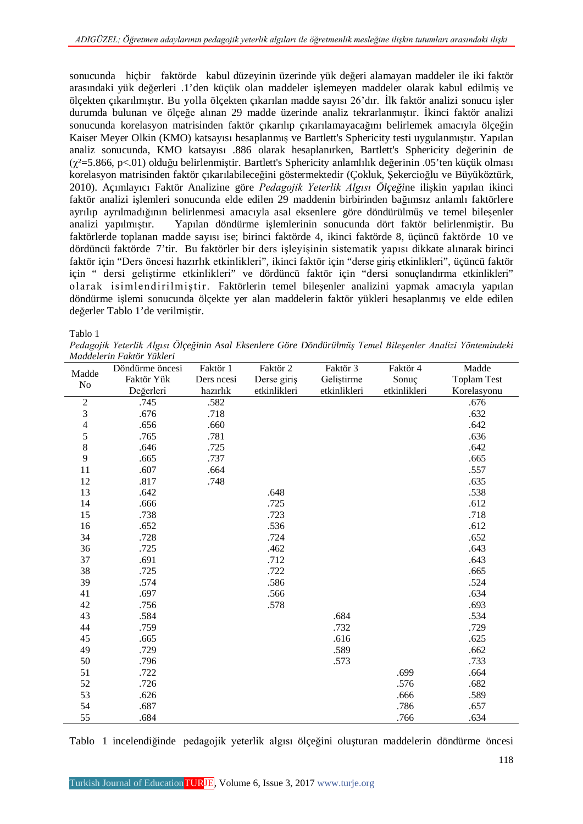sonucunda hiçbir faktörde kabul düzeyinin üzerinde yük değeri alamayan maddeler ile iki faktör arasındaki yük değerleri .1'den küçük olan maddeler işlemeyen maddeler olarak kabul edilmiş ve ölçekten çıkarılmıştır. Bu yolla ölçekten çıkarılan madde sayısı 26'dır. İlk faktör analizi sonucu işler durumda bulunan ve ölçeğe alınan 29 madde üzerinde analiz tekrarlanmıştır. İkinci faktör analizi sonucunda korelasyon matrisinden faktör çıkarılıp çıkarılamayacağını belirlemek amacıyla ölçeğin Kaiser Meyer Olkin (KMO) katsayısı hesaplanmış ve Bartlett's Sphericity testi uygulanmıştır. Yapılan analiz sonucunda, KMO katsayısı .886 olarak hesaplanırken, Bartlett's Sphericity değerinin de (χ²=5.866, p<.01) olduğu belirlenmiştir. Bartlett's Sphericity anlamlılık değerinin .05'ten küçük olması korelasyon matrisinden faktör çıkarılabileceğini göstermektedir (Çokluk, Şekercioğlu ve Büyüköztürk, 2010). Açımlayıcı Faktör Analizine göre *Pedagojik Yeterlik Algısı Ölçeği*ne ilişkin yapılan ikinci faktör analizi işlemleri sonucunda elde edilen 29 maddenin birbirinden bağımsız anlamlı faktörlere ayrılıp ayrılmadığının belirlenmesi amacıyla asal eksenlere göre döndürülmüş ve temel bileşenler analizi yapılmıştır. Yapılan döndürme işlemlerinin sonucunda dört faktör belirlenmiştir. Bu faktörlerde toplanan madde sayısı ise; birinci faktörde 4, ikinci faktörde 8, üçüncü faktörde 10 ve dördüncü faktörde 7'tir. Bu faktörler bir ders işleyişinin sistematik yapısı dikkate alınarak birinci faktör için "Ders öncesi hazırlık etkinlikleri", ikinci faktör için "derse giriş etkinlikleri", üçüncü faktör için " dersi geliştirme etkinlikleri" ve dördüncü faktör için "dersi sonuçlandırma etkinlikleri" olarak isimlendirilmiştir. Faktörlerin temel bileşenler analizini yapmak amacıyla yapılan döndürme işlemi sonucunda ölçekte yer alan maddelerin faktör yükleri hesaplanmış ve elde edilen değerler Tablo 1'de verilmiştir.

Tablo 1

*Pedagojik Yeterlik Algısı Ölçeğinin Asal Eksenlere Göre Döndürülmüş Temel Bileşenler Analizi Yöntemindeki Maddelerin Faktör Yükleri*

|                | Döndürme öncesi | Faktör 1   | Faktör 2     | Faktör 3     | Faktör 4     | Madde              |
|----------------|-----------------|------------|--------------|--------------|--------------|--------------------|
| Madde          | Faktör Yük      | Ders ncesi | Derse giriş  | Geliştirme   | Sonuç        | <b>Toplam Test</b> |
| No             | Değerleri       | hazırlık   | etkinlikleri | etkinlikleri | etkinlikleri | Korelasyonu        |
| $\overline{2}$ | .745            | .582       |              |              |              | .676               |
| 3              | .676            | .718       |              |              |              | .632               |
| $\overline{4}$ | .656            | .660       |              |              |              | .642               |
| 5              | .765            | .781       |              |              |              | .636               |
| 8              | .646            | .725       |              |              |              | .642               |
| 9              | .665            | .737       |              |              |              | .665               |
| 11             | .607            | .664       |              |              |              | .557               |
| 12             | .817            | .748       |              |              |              | .635               |
| 13             | .642            |            | .648         |              |              | .538               |
| 14             | .666            |            | .725         |              |              | .612               |
| 15             | .738            |            | .723         |              |              | .718               |
| 16             | .652            |            | .536         |              |              | .612               |
| 34             | .728            |            | .724         |              |              | .652               |
| 36             | .725            |            | .462         |              |              | .643               |
| 37             | .691            |            | .712         |              |              | .643               |
| 38             | .725            |            | .722         |              |              | .665               |
| 39             | .574            |            | .586         |              |              | .524               |
| 41             | .697            |            | .566         |              |              | .634               |
| 42             | .756            |            | .578         |              |              | .693               |
| 43             | .584            |            |              | .684         |              | .534               |
| 44             | .759            |            |              | .732         |              | .729               |
| 45             | .665            |            |              | .616         |              | .625               |
| 49             | .729            |            |              | .589         |              | .662               |
| 50             | .796            |            |              | .573         |              | .733               |
| 51             | .722            |            |              |              | .699         | .664               |
| 52             | .726            |            |              |              | .576         | .682               |
| 53             | .626            |            |              |              | .666         | .589               |
| 54             | .687            |            |              |              | .786         | .657               |
| 55             | .684            |            |              |              | .766         | .634               |

Tablo 1 incelendiğinde pedagojik yeterlik algısı ölçeğini oluşturan maddelerin döndürme öncesi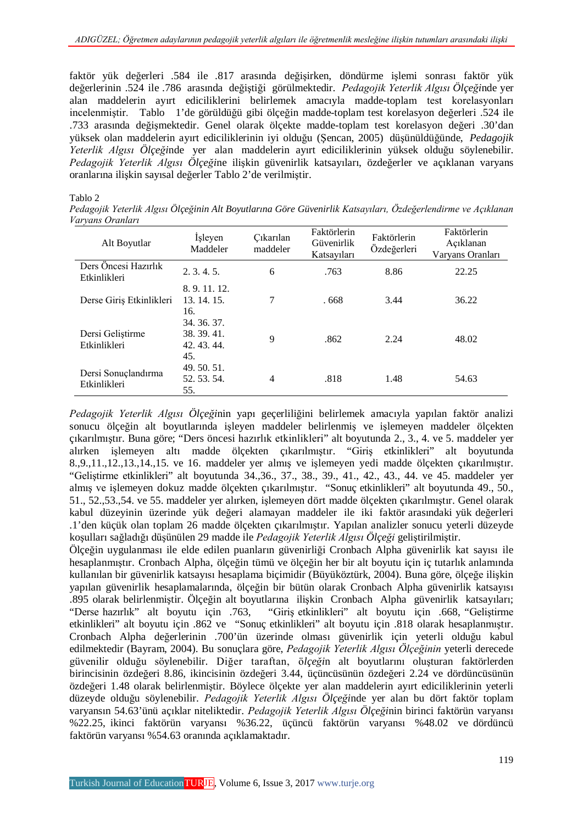faktör yük değerleri .584 ile .817 arasında değişirken, döndürme işlemi sonrası faktör yük değerlerinin .524 ile .786 arasında değiştiği görülmektedir. *Pedagojik Yeterlik Algısı Ölçeği*nde yer alan maddelerin ayırt ediciliklerini belirlemek amacıyla madde-toplam test korelasyonları incelenmiştir. Tablo 1'de görüldüğü gibi ölçeğin madde-toplam test korelasyon değerleri .524 ile .733 arasında değişmektedir. Genel olarak ölçekte madde-toplam test korelasyon değeri .30'dan yüksek olan maddelerin ayırt ediciliklerinin iyi olduğu (Şencan, 2005) düşünüldüğünde, *Pedagojik Yeterlik Algısı Ölçeği*nde yer alan maddelerin ayırt ediciliklerinin yüksek olduğu söylenebilir. *Pedagojik Yeterlik Algısı Ölçeği*ne ilişkin güvenirlik katsayıları, özdeğerler ve açıklanan varyans oranlarına ilişkin sayısal değerler Tablo 2'de verilmiştir.

#### Tablo 2

*Pedagojik Yeterlik Algısı Ölçeğinin Alt Boyutlarına Göre Güvenirlik Katsayıları, Özdeğerlendirme ve Açıklanan Varyans Oranları*

| Alt Boyutlar                         | Isleyen<br>Maddeler                          | Cıkarılan<br>maddeler | Faktörlerin<br>Güvenirlik<br>Katsayıları | Faktörlerin<br>Özdeğerleri | Faktörlerin<br>Açıklanan<br>Varyans Oranları |
|--------------------------------------|----------------------------------------------|-----------------------|------------------------------------------|----------------------------|----------------------------------------------|
| Ders Öncesi Hazırlık<br>Etkinlikleri | $2, 3, 4, 5$ .                               | 6                     | .763                                     | 8.86                       | 22.25                                        |
| Derse Giriş Etkinlikleri             | 8.9.11.12.<br>13. 14. 15.<br>16.             | 7                     | .668                                     | 3.44                       | 36.22                                        |
| Dersi Gelistirme<br>Etkinlikleri     | 34. 36. 37.<br>38.39.41.<br>42.43.44.<br>45. | 9                     | .862                                     | 2.24                       | 48.02                                        |
| Dersi Sonuçlandırma<br>Etkinlikleri  | 49.50.51.<br>52.53.54.<br>55.                | 4                     | .818                                     | 1.48                       | 54.63                                        |

*Pedagojik Yeterlik Algısı Ölçeği*nin yapı geçerliliğini belirlemek amacıyla yapılan faktör analizi sonucu ölçeğin alt boyutlarında işleyen maddeler belirlenmiş ve işlemeyen maddeler ölçekten çıkarılmıştır. Buna göre; "Ders öncesi hazırlık etkinlikleri" alt boyutunda 2., 3., 4. ve 5. maddeler yer alırken işlemeyen altı madde ölçekten çıkarılmıştır. "Giriş etkinlikleri" alt boyutunda 8.,9.,11.,12.,13.,14.,15. ve 16. maddeler yer almış ve işlemeyen yedi madde ölçekten çıkarılmıştır. "Geliştirme etkinlikleri" alt boyutunda 34.,36., 37., 38., 39., 41., 42., 43., 44. ve 45. maddeler yer almış ve işlemeyen dokuz madde ölçekten çıkarılmıştır. "Sonuç etkinlikleri" alt boyutunda 49., 50., 51., 52.,53.,54. ve 55. maddeler yer alırken, işlemeyen dört madde ölçekten çıkarılmıştır. Genel olarak kabul düzeyinin üzerinde yük değeri alamayan maddeler ile iki faktör arasındaki yük değerleri .1'den küçük olan toplam 26 madde ölçekten çıkarılmıştır. Yapılan analizler sonucu yeterli düzeyde koşulları sağladığı düşünülen 29 madde ile *Pedagojik Yeterlik Algısı Ölçeği* geliştirilmiştir.

Ölçeğin uygulanması ile elde edilen puanların güvenirliği Cronbach Alpha güvenirlik kat sayısı ile hesaplanmıştır. Cronbach Alpha, ölçeğin tümü ve ölçeğin her bir alt boyutu için iç tutarlık anlamında kullanılan bir güvenirlik katsayısı hesaplama biçimidir (Büyüköztürk, 2004). Buna göre, ölçeğe ilişkin yapılan güvenirlik hesaplamalarında, ölçeğin bir bütün olarak Cronbach Alpha güvenirlik katsayısı .895 olarak belirlenmiştir. Ölçeğin alt boyutlarına ilişkin Cronbach Alpha güvenirlik katsayıları; "Derse hazırlık" alt boyutu için .763, "Giriş etkinlikleri" alt boyutu için .668, "Geliştirme etkinlikleri" alt boyutu için .862 ve "Sonuç etkinlikleri" alt boyutu için .818 olarak hesaplanmıştır. Cronbach Alpha değerlerinin .700'ün üzerinde olması güvenirlik için yeterli olduğu kabul edilmektedir (Bayram, 2004). Bu sonuçlara göre, *Pedagojik Yeterlik Algısı Ölçeğinin* yeterli derecede güvenilir olduğu söylenebilir. Diğer taraftan, ö*lçeği*n alt boyutlarını oluşturan faktörlerden birincisinin özdeğeri 8.86, ikincisinin özdeğeri 3.44, üçüncüsünün özdeğeri 2.24 ve dördüncüsünün özdeğeri 1.48 olarak belirlenmiştir. Böylece ölçekte yer alan maddelerin ayırt ediciliklerinin yeterli düzeyde olduğu söylenebilir. *Pedagojik Yeterlik Algısı Ölçeği*nde yer alan bu dört faktör toplam varyansın 54.63'ünü açıklar niteliktedir. *Pedagojik Yeterlik Algısı Ölçeği*nin birinci faktörün varyansı %22.25, ikinci faktörün varyansı %36.22, üçüncü faktörün varyansı %48.02 ve dördüncü faktörün varyansı %54.63 oranında açıklamaktadır.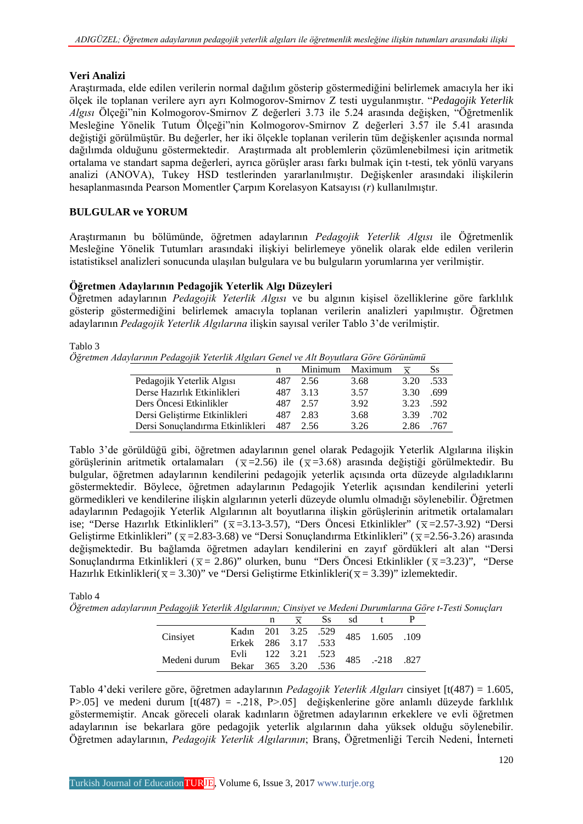### **Veri Analizi**

Araştırmada, elde edilen verilerin normal dağılım gösterip göstermediğini belirlemek amacıyla her iki ölçek ile toplanan verilere ayrı ayrı Kolmogorov-Smirnov Z testi uygulanmıştır. "*Pedagojik Yeterlik Algısı* Ölçeği"nin Kolmogorov-Smirnov Z değerleri 3.73 ile 5.24 arasında değişken, "Öğretmenlik Mesleğine Yönelik Tutum Ölçeği"nin Kolmogorov-Smirnov Z değerleri 3.57 ile 5.41 arasında değiştiği görülmüştür. Bu değerler, her iki ölçekle toplanan verilerin tüm değişkenler açısında normal dağılımda olduğunu göstermektedir. Araştırmada alt problemlerin çözümlenebilmesi için aritmetik ortalama ve standart sapma değerleri, ayrıca görüşler arası farkı bulmak için t-testi, tek yönlü varyans analizi (ANOVA), Tukey HSD testlerinden yararlanılmıştır. Değişkenler arasındaki ilişkilerin hesaplanmasında Pearson Momentler Çarpım Korelasyon Katsayısı (*r*) kullanılmıştır.

### **BULGULAR ve YORUM**

Araştırmanın bu bölümünde, öğretmen adaylarının *Pedagojik Yeterlik Algısı* ile Öğretmenlik Mesleğine Yönelik Tutumları arasındaki ilişkiyi belirlemeye yönelik olarak elde edilen verilerin istatistiksel analizleri sonucunda ulaşılan bulgulara ve bu bulguların yorumlarına yer verilmiştir.

### **Öğretmen Adaylarının Pedagojik Yeterlik Algı Düzeyleri**

Öğretmen adaylarının *Pedagojik Yeterlik Algısı* ve bu algının kişisel özelliklerine göre farklılık gösterip göstermediğini belirlemek amacıyla toplanan verilerin analizleri yapılmıştır. Öğretmen adaylarının *Pedagojik Yeterlik Algılarına* ilişkin sayısal veriler Tablo 3'de verilmiştir.

#### Tablo 3

*Öğretmen Adaylarının Pedagojik Yeterlik Algıları Genel ve Alt Boyutlara Göre Görünümü*

|                                  | n   | Minimum | Maximum | $\overline{\mathbf{x}}$ | Ss   |
|----------------------------------|-----|---------|---------|-------------------------|------|
| Pedagojik Yeterlik Algısı        | 487 | 2.56    | 3.68    | 3.20                    | .533 |
| Derse Hazırlık Etkinlikleri      | 487 | 3.13    | 3.57    | 3.30                    | .699 |
| Ders Öncesi Etkinlikler          | 487 | 2.57    | 3.92    | 3.23                    | .592 |
| Dersi Geliştirme Etkinlikleri    | 487 | 2.83    | 3.68    | 3.39                    | .702 |
| Dersi Sonuçlandırma Etkinlikleri | 487 | 2.56    | 3.26    | 2.86                    | 767. |

Tablo 3'de görüldüğü gibi, öğretmen adaylarının genel olarak Pedagojik Yeterlik Algılarına ilişkin görüşlerinin aritmetik ortalamaları ( $\overline{x}$ =2.56) ile ( $\overline{x}$ =3.68) arasında değiştiği görülmektedir. Bu bulgular, öğretmen adaylarının kendilerini pedagojik yeterlik açısında orta düzeyde algıladıklarını göstermektedir. Böylece, öğretmen adaylarının Pedagojik Yeterlik açısından kendilerini yeterli görmedikleri ve kendilerine ilişkin algılarının yeterli düzeyde olumlu olmadığı söylenebilir. Öğretmen adaylarının Pedagojik Yeterlik Algılarının alt boyutlarına ilişkin görüşlerinin aritmetik ortalamaları ise; "Derse Hazırlık Etkinlikleri" ( $\bar{x}$ =3.13-3.57), "Ders Öncesi Etkinlikler" ( $\bar{x}$ =2.57-3.92) "Dersi Geliştirme Etkinlikleri" ( $\bar{x}$  = 2.83-3.68) ve "Dersi Sonuçlandırma Etkinlikleri" ( $\bar{x}$  = 2.56-3.26) arasında değişmektedir. Bu bağlamda öğretmen adayları kendilerini en zayıf gördükleri alt alan "Dersi Sonuçlandırma Etkinlikleri ( $\bar{x}$  = 2.86)" olurken, bunu "Ders Öncesi Etkinlikler ( $\bar{x}$  = 3.23)", "Derse Hazırlık Etkinlikleri( $\overline{x}$  = 3.30)" ve "Dersi Geliştirme Etkinlikleri( $\overline{x}$  = 3.39)" izlemektedir.

Tablo 4

*Öğretmen adaylarının Pedagojik Yeterlik Algılarının; Cinsiyet ve Medeni Durumlarına Göre t-Testi Sonuçları*

|              | n | Ss. | sd |                                                                         |  |
|--------------|---|-----|----|-------------------------------------------------------------------------|--|
| Cinsiyet     |   |     |    | Kadın 201 3.25 .529<br>Erkek 286 3.17 .533 485 1.605 .109               |  |
|              |   |     |    |                                                                         |  |
| Medeni durum |   |     |    | Evli 122 3.21 .523 485 .-218 .827<br>Bekar 365 3.20 .536 485 .-218 .827 |  |
|              |   |     |    |                                                                         |  |

Tablo 4'deki verilere göre, öğretmen adaylarının *Pedagojik Yeterlik Algıları* cinsiyet [t(487) = 1.605, P $> 0.05$ ] ve medeni durum  $[t(487) = -0.218, P > 0.05]$  değişkenlerine göre anlamlı düzeyde farklılık göstermemiştir. Ancak göreceli olarak kadınların öğretmen adaylarının erkeklere ve evli öğretmen adaylarının ise bekarlara göre pedagojik yeterlik algılarının daha yüksek olduğu söylenebilir. Öğretmen adaylarının, *Pedagojik Yeterlik Algılarının*; Branş, Öğretmenliği Tercih Nedeni, İnterneti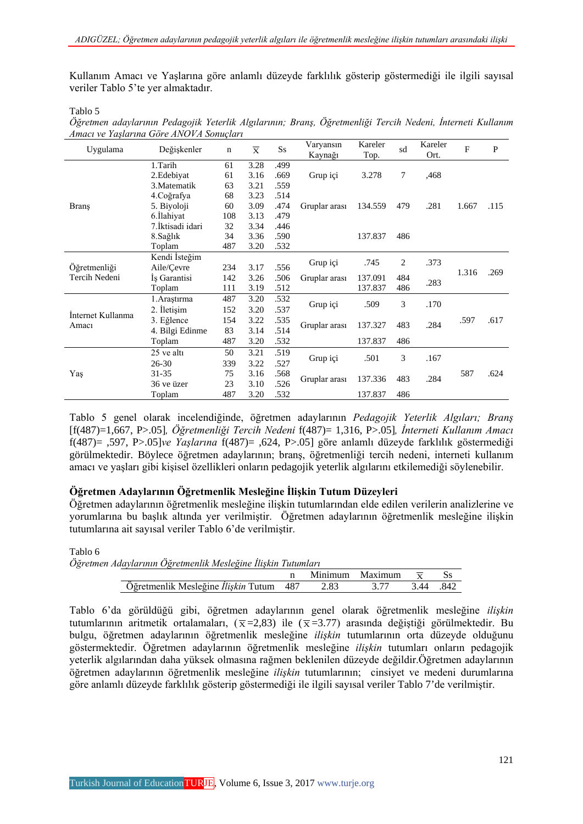Kullanım Amacı ve Yaşlarına göre anlamlı düzeyde farklılık gösterip göstermediği ile ilgili sayısal veriler Tablo 5'te yer almaktadır.

Tablo 5

*Öğretmen adaylarının Pedagojik Yeterlik Algılarının; Branş, Öğretmenliği Tercih Nedeni, İnterneti Kullanım Amacı ve Yaşlarına Göre ANOVA Sonuçları*

| Uygulama          | Değişkenler      | $\mathbf n$ | $\overline{\mathbf{x}}$ | $S_{S}$ | Varyansın<br>Kaynağı | Kareler<br>Top. | sd          | Kareler<br>Ort. | F     | $\mathbf{P}$ |
|-------------------|------------------|-------------|-------------------------|---------|----------------------|-----------------|-------------|-----------------|-------|--------------|
|                   | 1.Tarih          | 61          | 3.28                    | .499    |                      |                 |             |                 |       |              |
|                   | 2. Edebiyat      | 61          | 3.16                    | .669    | Grup içi             | 3.278           | 7           | ,468            |       |              |
|                   | 3. Matematik     | 63          | 3.21                    | .559    |                      |                 |             |                 |       |              |
|                   | 4. Coğrafya      | 68          | 3.23                    | .514    |                      |                 |             |                 |       |              |
| Branş             | 5. Biyoloji      | 60          | 3.09                    | .474    | Gruplar arası        | 134.559         | 479         | .281            | 1.667 | .115         |
|                   | 6.Ilahiyat       | 108         | 3.13                    | .479    |                      |                 |             |                 |       |              |
|                   | 7.İktisadi idari | 32          | 3.34                    | .446    |                      |                 |             |                 |       |              |
|                   | 8. Sağlık        | 34          | 3.36                    | .590    |                      | 137.837         | 486         |                 |       |              |
|                   | Toplam           | 487         | 3.20                    | .532    |                      |                 |             |                 |       |              |
|                   | Kendi İsteğim    |             |                         |         | Grup içi             | .745            | 2           | .373            |       |              |
| Öğretmenliği      | Aile/Cevre       | 234         | 3.17                    | .556    |                      |                 |             |                 | 1.316 | .269         |
| Tercih Nedeni     | İş Garantisi     | 142         | 3.26                    | .506    | Gruplar arası        | 137.091         | 484<br>.283 |                 |       |              |
|                   | Toplam           | 111         | 3.19                    | .512    |                      | 137.837         | 486         |                 |       |              |
|                   | 1. Araştırma     | 487         | 3.20                    | .532    | Grup içi             | .509            | 3           | .170            |       |              |
| Internet Kullanma | 2. Iletisim      | 152         | 3.20                    | .537    |                      |                 |             |                 |       |              |
|                   | 3. Eğlence       | 154         | 3.22                    | .535    |                      | 137.327         | 483         | .284            | .597  | .617         |
| Amacı             | 4. Bilgi Edinme  | 83          | 3.14                    | .514    | Gruplar arası        |                 |             |                 |       |              |
|                   | Toplam           | 487         | 3.20                    | .532    |                      | 137.837         | 486         |                 |       |              |
|                   | 25 ve altı       | 50          | 3.21                    | .519    |                      |                 | 3           |                 |       |              |
|                   | $26 - 30$        | 339         | 3.22                    | .527    | Grup içi             | .501            |             | .167            |       |              |
| Yaş               | 31-35            | 75          | 3.16                    | .568    |                      |                 |             |                 | 587   | .624         |
|                   | 36 ve üzer       | 23          | 3.10                    | .526    | Gruplar arası        | 137.336         | 483         | .284            |       |              |
|                   | Toplam           | 487         | 3.20                    | .532    |                      | 137.837         | 486         |                 |       |              |

Tablo 5 genel olarak incelendiğinde, öğretmen adaylarının *Pedagojik Yeterlik Algıları; Branş*  [f(487)=1,667, P>.05]*, Öğretmenliği Tercih Nedeni* f(487)= 1,316, P>.05]*, İnterneti Kullanım Amacı*  f(487)= ,597, P>.05]*ve Yaşlarına* f(487)= ,624, P>.05] göre anlamlı düzeyde farklılık göstermediği görülmektedir. Böylece öğretmen adaylarının; branş, öğretmenliği tercih nedeni, interneti kullanım amacı ve yaşları gibi kişisel özellikleri onların pedagojik yeterlik algılarını etkilemediği söylenebilir.

### **Öğretmen Adaylarının Öğretmenlik Mesleğine İlişkin Tutum Düzeyleri**

Öğretmen adaylarının öğretmenlik mesleğine ilişkin tutumlarından elde edilen verilerin analizlerine ve yorumlarına bu başlık altında yer verilmiştir. Öğretmen adaylarının öğretmenlik mesleğine ilişkin tutumlarına ait sayısal veriler Tablo 6'de verilmiştir.

Tablo 6 *Öğretmen Adaylarının Öğretmenlik Mesleğine İlişkin Tutumları* n Minimum Maximum  $\overline{x}$  Ss<br>487 2.83 3.77 3.44 .842 Öğretmenlik Mesleğine İlişkin Tutum

Tablo 6'da görüldüğü gibi, öğretmen adaylarının genel olarak öğretmenlik mesleğine *ilişkin* tutumlarının aritmetik ortalamaları,  $(\bar{x}=2.83)$  ile  $(\bar{x}=3.77)$  arasında değiştiği görülmektedir. Bu bulgu, öğretmen adaylarının öğretmenlik mesleğine *ilişkin* tutumlarının orta düzeyde olduğunu göstermektedir. Öğretmen adaylarının öğretmenlik mesleğine *ilişkin* tutumları onların pedagojik yeterlik algılarından daha yüksek olmasına rağmen beklenilen düzeyde değildir.Öğretmen adaylarının öğretmen adaylarının öğretmenlik mesleğine *ilişkin* tutumlarının; cinsiyet ve medeni durumlarına göre anlamlı düzeyde farklılık gösterip göstermediği ile ilgili sayısal veriler Tablo 7'de verilmiştir.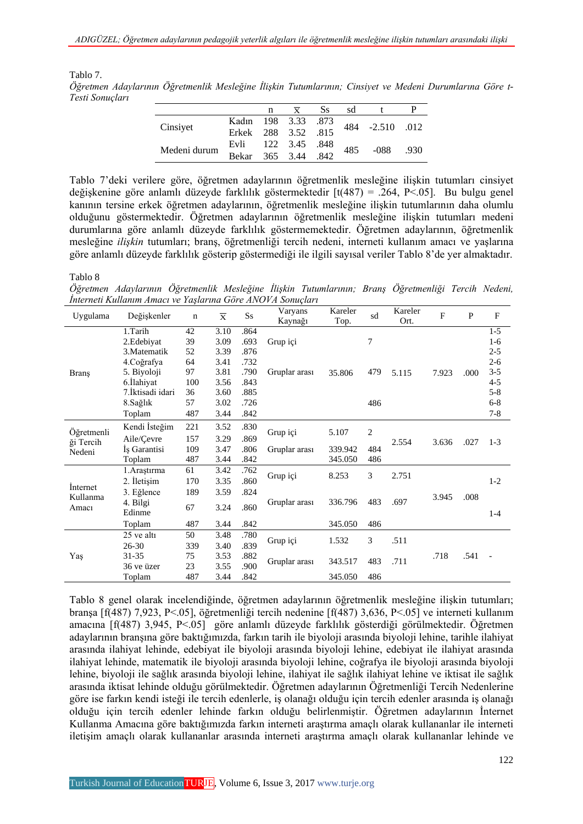Tablo 7.

*Öğretmen Adaylarının Öğretmenlik Mesleğine İlişkin Tutumlarının; Cinsiyet ve Medeni Durumlarına Göre t-Testi Sonuçları*

|              |                     | n |              | <b>Ss</b> | sd  |                 |      |
|--------------|---------------------|---|--------------|-----------|-----|-----------------|------|
| Cinsiyet     | Kadın 198 3.33 .873 |   |              |           |     | 484 -2.510 .012 |      |
|              | Erkek 288 3.52 .815 |   |              |           |     |                 |      |
| Medeni durum | Evli 122 3.45 .848  |   |              |           | 485 | -088            |      |
|              | Bekar               |   | $365$ $3.44$ | .842      |     |                 | .930 |

Tablo 7'deki verilere göre, öğretmen adaylarının öğretmenlik mesleğine ilişkin tutumları cinsiyet değişkenine göre anlamlı düzeyde farklılık göstermektedir [t(487) = .264, P<.05]. Bu bulgu genel kanının tersine erkek öğretmen adaylarının, öğretmenlik mesleğine ilişkin tutumlarının daha olumlu olduğunu göstermektedir. Öğretmen adaylarının öğretmenlik mesleğine ilişkin tutumları medeni durumlarına göre anlamlı düzeyde farklılık göstermemektedir. Öğretmen adaylarının, öğretmenlik mesleğine *ilişkin* tutumları; branş, öğretmenliği tercih nedeni, interneti kullanım amacı ve yaşlarına göre anlamlı düzeyde farklılık gösterip göstermediği ile ilgili sayısal veriler Tablo 8'de yer almaktadır.

#### Tablo 8

*Öğretmen Adaylarının Öğretmenlik Mesleğine İlişkin Tutumlarının; Branş Öğretmenliği Tercih Nedeni, İnterneti Kullanım Amacı ve Yaşlarına Göre ANOVA Sonuçları*

| Uygulama            | Değişkenler      | $\mathbf n$ | $\overline{\mathbf{x}}$ | $S_{S}$ | Varyans<br>Kaynağı | Kareler<br>Top. | sd             | Kareler<br>Ort. | $\overline{F}$ | $\mathbf{P}$ | $\mathbf{F}$ |
|---------------------|------------------|-------------|-------------------------|---------|--------------------|-----------------|----------------|-----------------|----------------|--------------|--------------|
|                     | 1.Tarih          | 42          | 3.10                    | .864    |                    |                 |                |                 |                |              | $1-5$        |
|                     | 2. Edebiyat      | 39          | 3.09                    | .693    | Grup içi           |                 | 7              |                 |                |              | $1-6$        |
|                     | 3. Matematik     | 52          | 3.39                    | .876    |                    |                 |                |                 |                |              | $2 - 5$      |
|                     | 4. Coğrafya      | 64          | 3.41                    | .732    |                    |                 |                |                 | 7.923          |              | $2 - 6$      |
| <b>Brans</b>        | 5. Biyoloji      | 97          | 3.81                    | .790    | Gruplar arası      | 35.806          | 479            | 5.115           |                | .000         | $3 - 5$      |
|                     | 6.Ilahiyat       | 100         | 3.56                    | .843    |                    |                 |                |                 |                |              | $4 - 5$      |
|                     | 7.İktisadi idari | 36          | 3.60                    | .885    |                    |                 |                |                 |                |              | $5 - 8$      |
|                     | 8. Sağlık        | 57          | 3.02                    | .726    |                    |                 | 486            |                 |                |              | $6 - 8$      |
|                     | Toplam           | 487         | 3.44                    | .842    |                    |                 |                |                 |                |              | $7 - 8$      |
| Öğretmenli          | Kendi İsteğim    | 221         | 3.52                    | .830    | Grup içi           | 5.107           | $\overline{2}$ |                 |                |              |              |
| ği Tercih<br>Nedeni | Aile/Cevre       | 157         | 3.29                    | .869    |                    |                 |                | 2.554           | 3.636          | .027         | $1 - 3$      |
|                     | Is Garantisi     | 109         | 3.47                    | .806    | Gruplar arası      | 339.942         | 484            |                 |                |              |              |
|                     | Toplam           | 487         | 3.44                    | .842    |                    | 345.050         | 486            |                 |                |              |              |
|                     | 1. Arastırma     | 61          | 3.42                    | .762    | Grup içi           |                 | 3              | 2.751           |                |              |              |
|                     | 2. İletişim      | 170         | 3.35                    | .860    |                    | 8.253           |                |                 |                |              | $1-2$        |
| Internet            | 3. Eğlence       | 189         | 3.59                    | .824    |                    |                 |                |                 |                |              |              |
| Kullanma<br>Amacı   | 4. Bilgi         | 67          | 3.24                    | .860    | Gruplar arası      | 336.796         | 483            | .697            | 3.945          | .008         |              |
|                     | Edinme           |             |                         |         |                    |                 |                |                 |                |              | $1 - 4$      |
|                     | Toplam           | 487         | 3.44                    | .842    |                    | 345.050         | 486            |                 |                |              |              |
|                     | 25 ve altı       | 50          | 3.48                    | .780    | Grup içi           | 1.532           | 3              | .511            |                |              |              |
|                     | $26 - 30$        | 339         | 3.40                    | .839    |                    |                 |                |                 |                |              |              |
| Yaş                 | 31-35            | 75          | 3.53                    | .882    | Gruplar arası      | 343.517         | 483            | .711            | .718           | .541         |              |
|                     | 36 ve üzer       | 23          | 3.55                    | .900    |                    |                 |                |                 |                |              |              |
|                     | Toplam           | 487         | 3.44                    | .842    |                    | 345.050         | 486            |                 |                |              |              |

Tablo 8 genel olarak incelendiğinde, öğretmen adaylarının öğretmenlik mesleğine ilişkin tutumları; branşa [f(487) 7,923, P<.05], öğretmenliği tercih nedenine [f(487) 3,636, P<.05] ve interneti kullanım amacına [f(487) 3,945, P<.05] göre anlamlı düzeyde farklılık gösterdiği görülmektedir. Öğretmen adaylarının branşına göre baktığımızda, farkın tarih ile biyoloji arasında biyoloji lehine, tarihle ilahiyat arasında ilahiyat lehinde, edebiyat ile biyoloji arasında biyoloji lehine, edebiyat ile ilahiyat arasında ilahiyat lehinde, matematik ile biyoloji arasında biyoloji lehine, coğrafya ile biyoloji arasında biyoloji lehine, biyoloji ile sağlık arasında biyoloji lehine, ilahiyat ile sağlık ilahiyat lehine ve iktisat ile sağlık arasında iktisat lehinde olduğu görülmektedir. Öğretmen adaylarının Öğretmenliği Tercih Nedenlerine göre ise farkın kendi isteği ile tercih edenlerle, iş olanağı olduğu için tercih edenler arasında iş olanağı olduğu için tercih edenler lehinde farkın olduğu belirlenmiştir. Öğretmen adaylarının İnternet Kullanma Amacına göre baktığımızda farkın interneti araştırma amaçlı olarak kullananlar ile interneti iletişim amaçlı olarak kullananlar arasında interneti araştırma amaçlı olarak kullananlar lehinde ve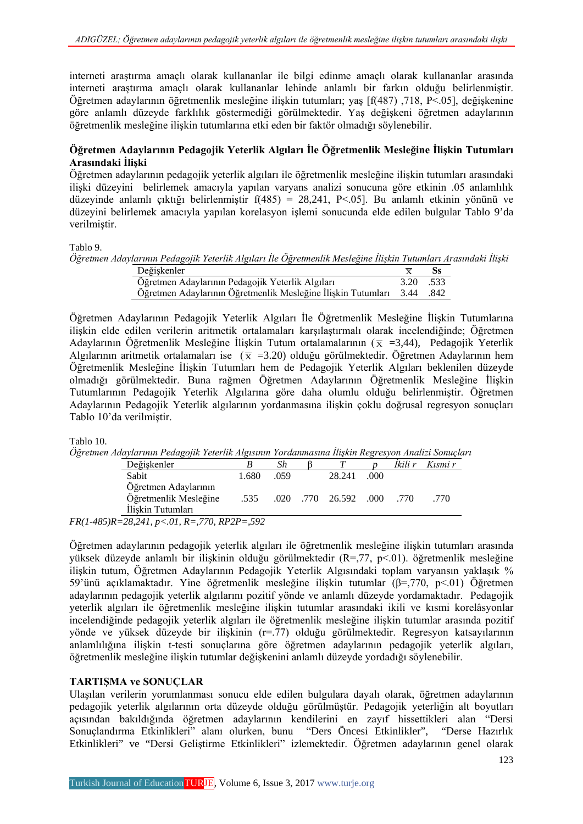interneti araştırma amaçlı olarak kullananlar ile bilgi edinme amaçlı olarak kullananlar arasında interneti araştırma amaçlı olarak kullananlar lehinde anlamlı bir farkın olduğu belirlenmiştir. Öğretmen adaylarının öğretmenlik mesleğine ilişkin tutumları; yaş [f(487) ,718, P<.05], değişkenine göre anlamlı düzeyde farklılık göstermediği görülmektedir. Yaş değişkeni öğretmen adaylarının öğretmenlik mesleğine ilişkin tutumlarına etki eden bir faktör olmadığı söylenebilir.

### **Öğretmen Adaylarının Pedagojik Yeterlik Algıları İle Öğretmenlik Mesleğine İlişkin Tutumları Arasındaki İlişki**

Öğretmen adaylarının pedagojik yeterlik algıları ile öğretmenlik mesleğine ilişkin tutumları arasındaki ilişki düzeyini belirlemek amacıyla yapılan varyans analizi sonucuna göre etkinin .05 anlamlılık düzeyinde anlamlı çıktığı belirlenmiştir f(485) = 28,241, P<.05]. Bu anlamlı etkinin yönünü ve düzeyini belirlemek amacıyla yapılan korelasyon işlemi sonucunda elde edilen bulgular Tablo 9'da verilmiştir.

Tablo 9.

*Öğretmen Adaylarının Pedagojik Yeterlik Algıları İle Öğretmenlik Mesleğine İlişkin Tutumları Arasındaki İlişki*

| Değişkenler                                                            |      |      |
|------------------------------------------------------------------------|------|------|
| Öğretmen Adaylarının Pedagojik Yeterlik Algıları                       | 3.20 | .533 |
| Öğretmen Adaylarının Öğretmenlik Mesleğine İlişkin Tutumları 3.44 .842 |      |      |

Öğretmen Adaylarının Pedagojik Yeterlik Algıları İle Öğretmenlik Mesleğine İlişkin Tutumlarına ilişkin elde edilen verilerin aritmetik ortalamaları karşılaştırmalı olarak incelendiğinde; Öğretmen Adaylarının Öğretmenlik Mesleğine İlişkin Tutum ortalamalarının ( $\overline{x}$  =3,44), Pedagojik Yeterlik Algılarının aritmetik ortalamaları ise ( $\overline{x}$  =3.20) olduğu görülmektedir. Öğretmen Adaylarının hem Öğretmenlik Mesleğine İlişkin Tutumları hem de Pedagojik Yeterlik Algıları beklenilen düzeyde olmadığı görülmektedir. Buna rağmen Öğretmen Adaylarının Öğretmenlik Mesleğine İlişkin Tutumlarının Pedagojik Yeterlik Algılarına göre daha olumlu olduğu belirlenmiştir. Öğretmen Adaylarının Pedagojik Yeterlik algılarının yordanmasına ilişkin çoklu doğrusal regresyon sonuçları Tablo 10'da verilmiştir.

Tablo 10.

```
Öğretmen Adaylarının Pedagojik Yeterlik Algısının Yordanmasına İlişkin Regresyon Analizi Sonuçları
```

| Değişkenler                |       | Sh   |                            | İkili r | Kısmi r |  |
|----------------------------|-------|------|----------------------------|---------|---------|--|
| Sabit                      | 1.680 | .059 | 28.241 .000                |         |         |  |
| Öğretmen Adaylarının       |       |      |                            |         |         |  |
| Öğretmenlik Mesleğine      | .535  |      | .020 .770 26.592 .000 .770 |         | -770    |  |
| İliskin Tutumları          |       |      |                            |         |         |  |
| $5D-29241 - 61D-770DD-502$ |       |      |                            |         |         |  |

*FR(1-485)R=28,241, p<.01, R=,770, RP2P=,592*

Öğretmen adaylarının pedagojik yeterlik algıları ile öğretmenlik mesleğine ilişkin tutumları arasında yüksek düzeyde anlamlı bir ilişkinin olduğu görülmektedir (R=,77, p<.01). öğretmenlik mesleğine ilişkin tutum, Öğretmen Adaylarının Pedagojik Yeterlik Algısındaki toplam varyansın yaklaşık % 59'ünü açıklamaktadır. Yine öğretmenlik mesleğine ilişkin tutumlar (β=,770, p<.01) Öğretmen adaylarının pedagojik yeterlik algılarını pozitif yönde ve anlamlı düzeyde yordamaktadır. Pedagojik yeterlik algıları ile öğretmenlik mesleğine ilişkin tutumlar arasındaki ikili ve kısmi korelâsyonlar incelendiğinde pedagojik yeterlik algıları ile öğretmenlik mesleğine ilişkin tutumlar arasında pozitif yönde ve yüksek düzeyde bir ilişkinin (r=.77) olduğu görülmektedir. Regresyon katsayılarının anlamlılığına ilişkin t-testi sonuçlarına göre öğretmen adaylarının pedagojik yeterlik algıları, öğretmenlik mesleğine ilişkin tutumlar değişkenini anlamlı düzeyde yordadığı söylenebilir.

### **TARTIŞMA ve SONUÇLAR**

Ulaşılan verilerin yorumlanması sonucu elde edilen bulgulara dayalı olarak, öğretmen adaylarının pedagojik yeterlik algılarının orta düzeyde olduğu görülmüştür. Pedagojik yeterliğin alt boyutları açısından bakıldığında öğretmen adaylarının kendilerini en zayıf hissettikleri alan "Dersi Sonuçlandırma Etkinlikleri" alanı olurken, bunu "Ders Öncesi Etkinlikler", "Derse Hazırlık Etkinlikleri" ve "Dersi Geliştirme Etkinlikleri" izlemektedir. Öğretmen adaylarının genel olarak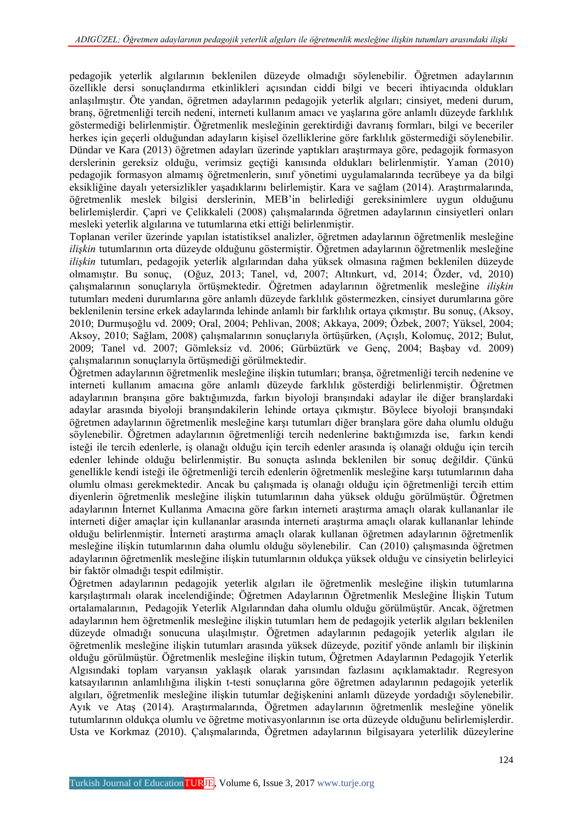pedagojik yeterlik algılarının beklenilen düzeyde olmadığı söylenebilir. Öğretmen adaylarının özellikle dersi sonuçlandırma etkinlikleri açısından ciddi bilgi ve beceri ihtiyacında oldukları anlaşılmıştır. Öte yandan, öğretmen adaylarının pedagojik yeterlik algıları; cinsiyet, medeni durum, branş, öğretmenliği tercih nedeni, interneti kullanım amacı ve yaşlarına göre anlamlı düzeyde farklılık göstermediği belirlenmiştir. Öğretmenlik mesleğinin gerektirdiği davranış formları, bilgi ve beceriler herkes için geçerli olduğundan adayların kişisel özelliklerine göre farklılık göstermediği söylenebilir. Dündar ve Kara (2013) öğretmen adayları üzerinde yaptıkları araştırmaya göre, pedagojik formasyon derslerinin gereksiz olduğu, verimsiz geçtiği kanısında oldukları belirlenmiştir. Yaman (2010) pedagojik formasyon almamış öğretmenlerin, sınıf yönetimi uygulamalarında tecrübeye ya da bilgi eksikliğine dayalı yetersizlikler yaşadıklarını belirlemiştir. Kara ve sağlam (2014). Araştırmalarında, öğretmenlik meslek bilgisi derslerinin, MEB'in belirlediği gereksinimlere uygun olduğunu belirlemişlerdir. Çapri ve Çelikkaleli (2008) çalışmalarında öğretmen adaylarının cinsiyetleri onları mesleki yeterlik algılarına ve tutumlarına etki ettiği belirlenmiştir.

Toplanan veriler üzerinde yapılan istatistiksel analizler, öğretmen adaylarının öğretmenlik mesleğine *ilişkin* tutumlarının orta düzeyde olduğunu göstermiştir. Öğretmen adaylarının öğretmenlik mesleğine *ilişkin* tutumları, pedagojik yeterlik algılarından daha yüksek olmasına rağmen beklenilen düzeyde olmamıştır. Bu sonuç, (Oğuz, 2013; Tanel, vd, 2007; Altınkurt, vd, 2014; Özder, vd, 2010) çalışmalarının sonuçlarıyla örtüşmektedir. Öğretmen adaylarının öğretmenlik mesleğine *ilişkin* tutumları medeni durumlarına göre anlamlı düzeyde farklılık göstermezken, cinsiyet durumlarına göre beklenilenin tersine erkek adaylarında lehinde anlamlı bir farklılık ortaya çıkmıştır. Bu sonuç, (Aksoy, 2010; Durmuşoğlu vd. 2009; Oral, 2004; Pehlivan, 2008; Akkaya, 2009; Özbek, 2007; Yüksel, 2004; Aksoy, 2010; Sağlam, 2008) çalışmalarının sonuçlarıyla örtüşürken, (Açışlı, Kolomuç, 2012; Bulut, 2009; Tanel vd. 2007; Gömleksiz vd. 2006; Gürbüztürk ve Genç, 2004; Başbay vd. 2009) çalışmalarının sonuçlarıyla örtüşmediği görülmektedir.

Öğretmen adaylarının öğretmenlik mesleğine ilişkin tutumları; branşa, öğretmenliği tercih nedenine ve interneti kullanım amacına göre anlamlı düzeyde farklılık gösterdiği belirlenmiştir. Öğretmen adaylarının branşına göre baktığımızda, farkın biyoloji branşındaki adaylar ile diğer branşlardaki adaylar arasında biyoloji branşındakilerin lehinde ortaya çıkmıştır. Böylece biyoloji branşındaki öğretmen adaylarının öğretmenlik mesleğine karşı tutumları diğer branşlara göre daha olumlu olduğu söylenebilir. Öğretmen adaylarının öğretmenliği tercih nedenlerine baktığımızda ise, farkın kendi isteği ile tercih edenlerle, iş olanağı olduğu için tercih edenler arasında iş olanağı olduğu için tercih edenler lehinde olduğu belirlenmiştir. Bu sonuçta aslında beklenilen bir sonuç değildir. Çünkü genellikle kendi isteği ile öğretmenliği tercih edenlerin öğretmenlik mesleğine karşı tutumlarının daha olumlu olması gerekmektedir. Ancak bu çalışmada iş olanağı olduğu için öğretmenliği tercih ettim diyenlerin öğretmenlik mesleğine ilişkin tutumlarının daha yüksek olduğu görülmüştür. Öğretmen adaylarının İnternet Kullanma Amacına göre farkın interneti araştırma amaçlı olarak kullananlar ile interneti diğer amaçlar için kullananlar arasında interneti araştırma amaçlı olarak kullananlar lehinde olduğu belirlenmiştir. İnterneti araştırma amaçlı olarak kullanan öğretmen adaylarının öğretmenlik mesleğine ilişkin tutumlarının daha olumlu olduğu söylenebilir. Can (2010) çalışmasında öğretmen adaylarının öğretmenlik mesleğine ilişkin tutumlarının oldukça yüksek olduğu ve cinsiyetin belirleyici bir faktör olmadığı tespit edilmiştir.

Öğretmen adaylarının pedagojik yeterlik algıları ile öğretmenlik mesleğine ilişkin tutumlarına karşılaştırmalı olarak incelendiğinde; Öğretmen Adaylarının Öğretmenlik Mesleğine İlişkin Tutum ortalamalarının, Pedagojik Yeterlik Algılarından daha olumlu olduğu görülmüştür. Ancak, öğretmen adaylarının hem öğretmenlik mesleğine ilişkin tutumları hem de pedagojik yeterlik algıları beklenilen düzeyde olmadığı sonucuna ulaşılmıştır. Öğretmen adaylarının pedagojik yeterlik algıları ile öğretmenlik mesleğine ilişkin tutumları arasında yüksek düzeyde, pozitif yönde anlamlı bir ilişkinin olduğu görülmüştür. Öğretmenlik mesleğine ilişkin tutum, Öğretmen Adaylarının Pedagojik Yeterlik Algısındaki toplam varyansın yaklaşık olarak yarısından fazlasını açıklamaktadır. Regresyon katsayılarının anlamlılığına ilişkin t-testi sonuçlarına göre öğretmen adaylarının pedagojik yeterlik algıları, öğretmenlik mesleğine ilişkin tutumlar değişkenini anlamlı düzeyde yordadığı söylenebilir. Ayık ve Ataş (2014). Araştırmalarında, Öğretmen adaylarının öğretmenlik mesleğine yönelik tutumlarının oldukça olumlu ve öğretme motivasyonlarının ise orta düzeyde olduğunu belirlemişlerdir. Usta ve Korkmaz (2010). Çalışmalarında, Öğretmen adaylarının bilgisayara yeterlilik düzeylerine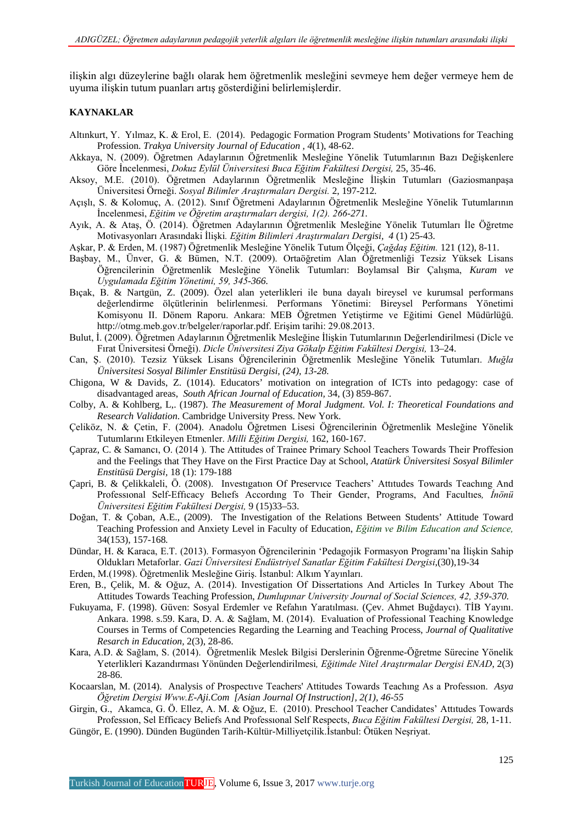ilişkin algı düzeylerine bağlı olarak hem öğretmenlik mesleğini sevmeye hem değer vermeye hem de uyuma ilişkin tutum puanları artış gösterdiğini belirlemişlerdir.

#### **KAYNAKLAR**

- Altınkurt, Y. Yılmaz, K. & Erol, E. (2014). Pedagogic Formation Program Students' Motivations for Teaching Profession. *Trakya University Journal of Education , 4*(1), 48-62.
- Akkaya, N. (2009). Öğretmen Adaylarının Öğretmenlik Mesleğine Yönelik Tutumlarının Bazı Değişkenlere Göre İncelenmesi, *Dokuz Eylül Üniversitesi Buca Eğitim Fakültesi Dergisi,* 25, 35-46.
- Aksoy, M.E. (2010). Öğretmen Adaylarının Öğretmenlik Mesleğine İlişkin Tutumları (Gaziosmanpaşa Üniversitesi Örneği. *Sosyal Bilimler Araştırmaları Dergisi.* 2, 197-212*.aştırmaları Dergisi*
- Açışlı, S. & Kolomuç, A. (2012). Sınıf Öğretmeni Adaylarının Öğretmenlik Mesleğine Yönelik Tutumlarının İncelenmesi, *Eğitim ve Öğretim araştırmaları dergisi, 1(2). 266-271.*
- Ayık, A. & Ataş, Ö. (2014). Öğretmen Adaylarının Öğretmenlik Mesleğine Yönelik Tutumları İle Öğretme Motivasyonları Arasındaki İlişki*. Eğitim Bilimleri Araştırmaları Dergisi, 4* (1) 25-43.
- Aşkar, P. & Erden, M. (1987) Öğretmenlik Mesleğine Yönelik Tutum Ölçeği, *Çağdaş Eğitim.* 121 (12), 8-11.
- Başbay, M., Ünver, G. & Bümen, N.T. (2009). Ortaöğretim Alan Öğretmenliği Tezsiz Yüksek Lisans Öğrencilerinin Öğretmenlik Mesleğine Yönelik Tutumları: Boylamsal Bir Çalışma, *Kuram ve Uygulamada Eğitim Yönetimi, 59, 345-366.*
- Bıçak, B. & Nartgün, Z. (2009). Özel alan yeterlikleri ile buna dayalı bireysel ve kurumsal performans değerlendirme ölçütlerinin belirlenmesi. Performans Yönetimi: Bireysel Performans Yönetimi Komisyonu II. Dönem Raporu. Ankara: MEB Öğretmen Yetiştirme ve Eğitimi Genel Müdürlüğü. http://otmg.meb.gov.tr/belgeler/raporlar.pdf. Erişim tarihi: 29.08.2013.
- Bulut, İ. (2009). Öğretmen Adaylarının Öğretmenlik Mesleğine İlişkin Tutumlarının Değerlendirilmesi (Dicle ve Fırat Üniversitesi Örneği). *Dicle Üniversitesi Ziya Gökalp Eğitim Fakültesi Dergisi,* 13–24.
- Can, Ş. (2010). Tezsiz Yüksek Lisans Öğrencilerinin Öğretmenlik Mesleğine Yönelik Tutumları. *Muğla Üniversitesi Sosyal Bilimler Enstitüsü Dergisi, (24), 13-28.*
- Chigona, W & Davids, Z. (1014). Educators' motivation on integration of ICTs into pedagogy: case of disadvantaged areas, *South African Journal of Education,* 34, (3) 859-867.
- Colby, A. & Kohlberg, L,. (1987). *The Measurement of Moral Judgment. Vol. I: Theoretical Foundations and Research Validation*. Cambridge University Press. New York.
- Çeliköz, N. & Çetin, F. (2004). Anadolu Öğretmen Lisesi Öğrencilerinin Öğretmenlik Mesleğine Yönelik Tutumlarını Etkileyen Etmenler. *Milli Eğitim Dergisi,* 162, 160-167.
- Çapraz, C. & Samancı, O. (2014 ). The Attitudes of Trainee Primary School Teachers Towards Their Proffesion and the Feelings that They Have on the First Practice Day at School, *Atatürk Üniversitesi Sosyal Bilimler Enstitüsü Dergisi,* 18 (1): 179-188
- Çapri, B. & Çelikkaleli, Ö. (2008). Investıgatıon Of Preservıce Teachers' Attıtudes Towards Teachıng And Professıonal Self-Effıcacy Belıefs Accordıng To Their Gender, Programs, And Facultıes*, İnönü Üniversitesi Eğitim Fakültesi Dergisi,* 9 (15)33–53.
- Doğan, T. & Çoban, A.E., (2009). The Investigation of the Relations Between Students' Attitude Toward Teaching Profession and Anxiety Level in Faculty of Education, *Eğitim ve Bilim Education and Science,*  34(153), 157-168*.*
- Dündar, H. & Karaca, E.T. (2013). Formasyon Öğrencilerinin 'Pedagojik Formasyon Programı'na İlişkin Sahip Oldukları Metaforlar. *Gazi Üniversitesi Endüstriyel Sanatlar Eğitim Fakültesi Dergisi*,(30),19-34
- Erden, M.(1998). Öğretmenlik Mesleğine Giriş. İstanbul: Alkım Yayınları.
- Eren, B., Çelik, M. & Oğuz, A. (2014). Investigation Of Dissertations And Articles In Turkey About The Attitudes Towards Teaching Profession, *Dumlupınar University Journal of Social Sciences, 42, 359-370.*
- Fukuyama, F. (1998). Güven: Sosyal Erdemler ve Refahın Yaratılması. (Çev. Ahmet Buğdaycı). TİB Yayını. Ankara. 1998. s.59. Kara, D. A. & Sağlam, M. (2014). Evaluation of Professional Teaching Knowledge Courses in Terms of Competencies Regarding the Learning and Teaching Process, *Journal of Qualitative Resarch in Education,* 2(3), 28-86.
- Kara, A.D. & Sağlam, S. (2014). Öğretmenlik Meslek Bilgisi Derslerinin Öğrenme-Öğretme Sürecine Yönelik Yeterlikleri Kazandırması Yönünden Değerlendirilmesi*, Eğitimde Nitel Araştırmalar Dergisi ENAD*, 2(3) 28-86.
- Kocaarslan, M. (2014). Analysis of Prospectıve Teachers' Attitudes Towards Teachıng As a Professıon. *Asya Öğretim Dergisi Www.E-Aji.Com [Asian Journal Of Instruction], 2(1), 46-55*
- Girgin, G., Akamca, G. Ö. Ellez, A. M. & Oğuz, E. (2010). Preschool Teacher Candidates' Attıtudes Towards Professıon, Sel Efficacy Beliefs And Professıonal Self Respects, *Buca Eğitim Fakültesi Dergisi,* 28, 1-11.
- Güngör, E. (1990). Dünden Bugünden Tarih-Kültür-Milliyetçilik.İstanbul: Ötüken Neşriyat.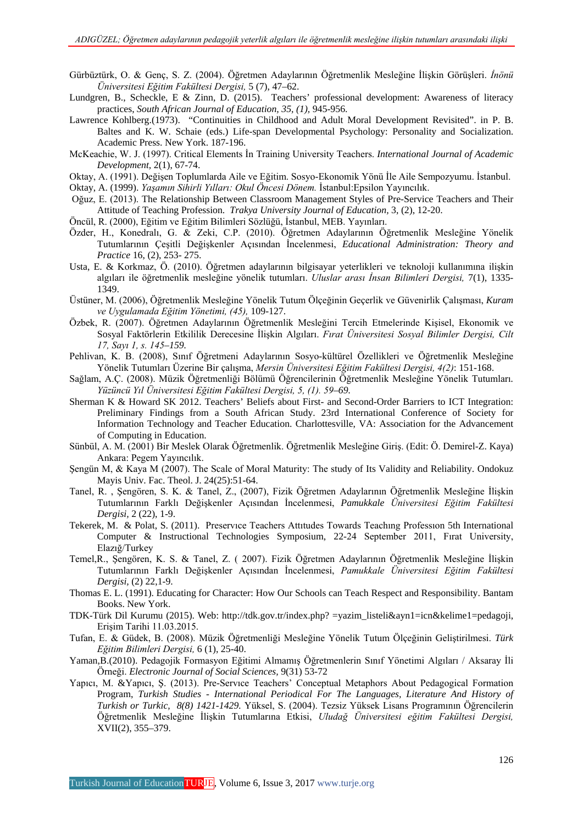- Gürbüztürk, O. & Genç, S. Z. (2004). Öğretmen Adaylarının Öğretmenlik Mesleğine İlişkin Görüşleri. *İnönü Üniversitesi Eğitim Fakültesi Dergisi,* 5 (7), 47–62.
- Lundgren, B., Scheckle, E & Zinn, D. (2015). Teachers' professional development: Awareness of literacy practices, *South African Journal of Education, 35, (1),* 945-956.
- Lawrence Kohlberg.(1973). "Continuities in Childhood and Adult Moral Development Revisited". in P. B. Baltes and K. W. Schaie (eds.) Life-span Developmental Psychology: Personality and Socialization. Academic Press. New York. 187-196.
- McKeachie, W. J. (1997). Critical Elements İn Training University Teachers. *International Journal of Academic Development,* 2(1), 67-74.
- Oktay, A. (1991). Değişen Toplumlarda Aile ve Eğitim. Sosyo-Ekonomik Yönü İle Aile Sempozyumu. İstanbul.

Oktay, A. (1999). *Yaşamın Sihirli Yılları: Okul Öncesi Dönem.* İstanbul:Epsilon Yayıncılık.

- Oğuz, E. (2013). The Relationship Between Classroom Management Styles of Pre-Service Teachers and Their Attitude of Teaching Profession. *Trakya University Journal of Education,* 3, (2), 12-20.
- Öncül, R. (2000), Eğitim ve Eğitim Bilimleri Sözlüğü, İstanbul, MEB. Yayınları.
- Özder, H., Konedralı, G. & Zeki, C.P. (2010). Öğretmen Adaylarının Öğretmenlik Mesleğine Yönelik Tutumlarının Çeşitli Değişkenler Açısından İncelenmesi, *Educational Administration: Theory and Practice* 16, (2), 253- 275.
- Usta, E. & Korkmaz, Ö. (2010). Öğretmen adaylarının bilgisayar yeterlikleri ve teknoloji kullanımına ilişkin algıları ile öğretmenlik mesleğine yönelik tutumları. *Uluslar arası İnsan Bilimleri Dergisi,* 7(1), 1335- 1349.
- Üstüner, M. (2006), Öğretmenlik Mesleğine Yönelik Tutum Ölçeğinin Geçerlik ve Güvenirlik Çalışması, *Kuram ve Uygulamada Eğitim Yönetimi, (45),* 109-127.
- Özbek, R. (2007). Öğretmen Adaylarının Öğretmenlik Mesleğini Tercih Etmelerinde Kişisel, Ekonomik ve Sosyal Faktörlerin Etkililik Derecesine İlişkin Algıları. *Fırat Üniversitesi Sosyal Bilimler Dergisi, Cilt 17, Sayı 1, s. 145–159.*
- Pehlivan, K. B. (2008), Sınıf Öğretmeni Adaylarının Sosyo-kültürel Özellikleri ve Öğretmenlik Mesleğine Yönelik Tutumları Üzerine Bir çalışma, *Mersin Üniversitesi Eğitim Fakültesi Dergisi, 4(2)*: 151-168.
- Sağlam, A.Ç. (2008). Müzik Öğretmenliği Bölümü Öğrencilerinin Öğretmenlik Mesleğine Yönelik Tutumları*. Yüzüncü Yıl Üniversitesi Eğitim Fakültesi Dergisi, 5, (1). 59–69.*
- Sherman K & Howard SK 2012. Teachers' Beliefs about First- and Second-Order Barriers to ICT Integration: Preliminary Findings from a South African Study. 23rd International Conference of Society for Information Technology and Teacher Education. Charlottesville, VA: Association for the Advancement of Computing in Education.
- Sünbül, A. M. (2001) Bir Meslek Olarak Öğretmenlik. Öğretmenlik Mesleğine Giriş. (Edit: Ö. Demirel-Z. Kaya) Ankara: Pegem Yayıncılık.
- Şengün M, & Kaya M (2007). The Scale of Moral Maturity: The study of Its Validity and Reliability. Ondokuz Mayis Univ. Fac. Theol. J. 24(25):51-64.
- Tanel, R. , Şengören, S. K. & Tanel, Z., (2007), Fizik Öğretmen Adaylarının Öğretmenlik Mesleğine İlişkin Tutumlarının Farklı Değişkenler Açısından İncelenmesi, *Pamukkale Üniversitesi Eğitim Fakültesi Dergisi,* 2 (22), 1-9.
- Tekerek, M. & Polat, S. (2011). Preservıce Teachers Attıtudes Towards Teachıng Professıon 5th International Computer & Instructional Technologies Symposium, 22-24 September 2011, Fırat University, Elazığ/Turkey
- Temel,R., Şengören, K. S. & Tanel, Z. ( 2007). Fizik Öğretmen Adaylarının Öğretmenlik Mesleğine İlişkin Tutumlarının Farklı Değişkenler Açısından İncelenmesi, *Pamukkale Üniversitesi Eğitim Fakültesi Dergisi,* (2) 22,1-9.
- Thomas E. L. (1991). Educating for Character: How Our Schools can Teach Respect and Responsibility. Bantam Books. New York.
- TDK-Türk Dil Kurumu (2015). Web: [http://tdk.gov.tr/index.php? =yazim\\_listeli&ayn1=icn&kelime1=pedagoji,](http://tdk.gov.tr/index.php?%20=yazim_listeli&ayn1=icn&kelime1=pedagoji) Erişim Tarihi 11.03.2015.
- Tufan, E. & Güdek, B. (2008). Müzik Öğretmenliği Mesleğine Yönelik Tutum Ölçeğinin Geliştirilmesi. *Türk Eğitim Bilimleri Dergisi,* 6 (1), 25-40.
- Yaman,B.(2010). Pedagojik Formasyon Eğitimi Almamış Öğretmenlerin Sınıf Yönetimi Algıları / Aksaray İli Örneği. *Electronic Journal of Social Sciences,* 9(31) 53-72
- Yapıcı, M. &Yapıcı, Ş. (2013). Pre-Servıce Teachers' Conceptual Metaphors About Pedagogical Formation Program, *Turkish Studies - International Periodical For The Languages, Literature And History of Turkish or Turkic, 8(8) 1421-1429.* Yüksel, S. (2004). Tezsiz Yüksek Lisans Programının Öğrencilerin Öğretmenlik Mesleğine İlişkin Tutumlarına Etkisi, *Uludağ Üniversitesi eğitim Fakültesi Dergisi,*  XVII(2), 355–379.